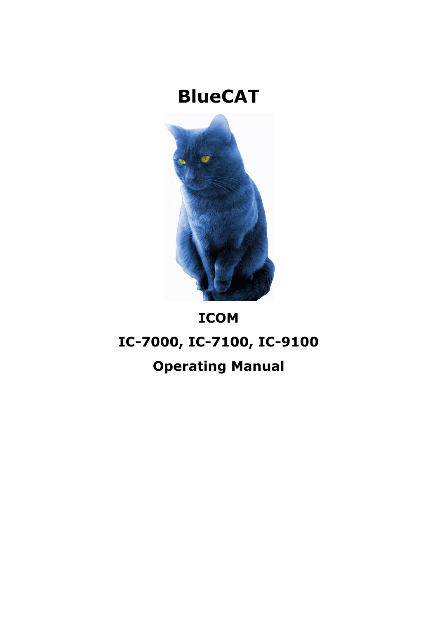## **BlueCAT**



# **ICOM IC-7000, IC-7100, IC-9100 Operating Manual**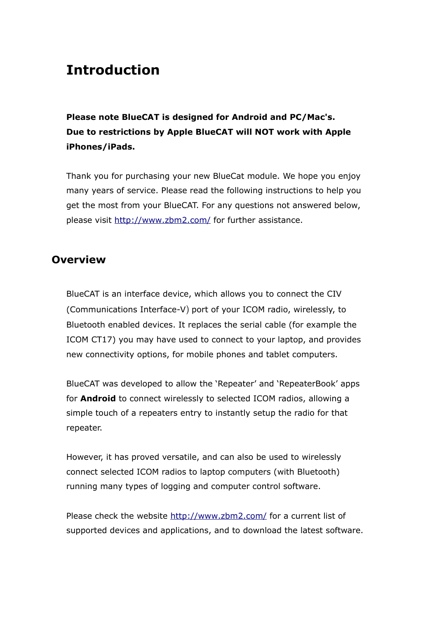## **Introduction**

**Please note BlueCAT is designed for Android and PC/Mac's. Due to restrictions by Apple BlueCAT will NOT work with Apple iPhones/iPads.** 

Thank you for purchasing your new BlueCat module. We hope you enjoy many years of service. Please read the following instructions to help you get the most from your BlueCAT. For any questions not answered below, please visit http://www.zbm2.com/ for further assistance.

### **Overview**

BlueCAT is an interface device, which allows you to connect the CIV (Communications Interface-V) port of your ICOM radio, wirelessly, to Bluetooth enabled devices. It replaces the serial cable (for example the ICOM CT17) you may have used to connect to your laptop, and provides new connectivity options, for mobile phones and tablet computers.

BlueCAT was developed to allow the 'Repeater' and 'RepeaterBook' apps for **Android** to connect wirelessly to selected ICOM radios, allowing a simple touch of a repeaters entry to instantly setup the radio for that repeater.

However, it has proved versatile, and can also be used to wirelessly connect selected ICOM radios to laptop computers (with Bluetooth) running many types of logging and computer control software.

Please check the website http://www.zbm2.com/ for a current list of supported devices and applications, and to download the latest software.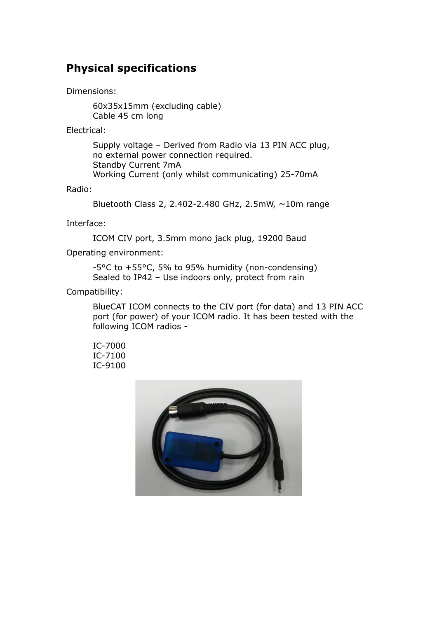## **Physical specifications**

Dimensions:

60x35x15mm (excluding cable) Cable 45 cm long

Electrical:

Supply voltage – Derived from Radio via 13 PIN ACC plug, no external power connection required. Standby Current 7mA Working Current (only whilst communicating) 25-70mA

Radio:

Bluetooth Class 2, 2.402-2.480 GHz, 2.5mW, ~10m range

Interface:

ICOM CIV port, 3.5mm mono jack plug, 19200 Baud

Operating environment:

-5°C to +55°C, 5% to 95% humidity (non-condensing) Sealed to IP42 – Use indoors only, protect from rain

Compatibility:

BlueCAT ICOM connects to the CIV port (for data) and 13 PIN ACC port (for power) of your ICOM radio. It has been tested with the following ICOM radios -

IC-7000 IC-7100 IC-9100

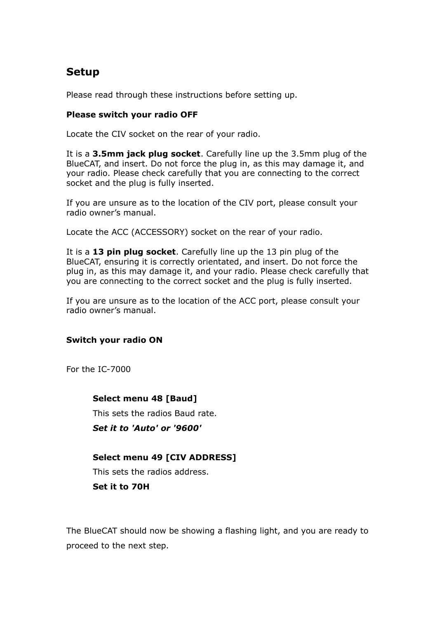## **Setup**

Please read through these instructions before setting up.

#### **Please switch your radio OFF**

Locate the CIV socket on the rear of your radio.

It is a **3.5mm jack plug socket**. Carefully line up the 3.5mm plug of the BlueCAT, and insert. Do not force the plug in, as this may damage it, and your radio. Please check carefully that you are connecting to the correct socket and the plug is fully inserted.

If you are unsure as to the location of the CIV port, please consult your radio owner's manual.

Locate the ACC (ACCESSORY) socket on the rear of your radio.

It is a **13 pin plug socket**. Carefully line up the 13 pin plug of the BlueCAT, ensuring it is correctly orientated, and insert. Do not force the plug in, as this may damage it, and your radio. Please check carefully that you are connecting to the correct socket and the plug is fully inserted.

If you are unsure as to the location of the ACC port, please consult your radio owner's manual.

#### **Switch your radio ON**

For the IC-7000

**Select menu 48 [Baud]**  This sets the radios Baud rate. *Set it to 'Auto' or '9600'* 

#### **Select menu 49 [CIV ADDRESS]**

This sets the radios address.

**Set it to 70H**

The BlueCAT should now be showing a flashing light, and you are ready to proceed to the next step.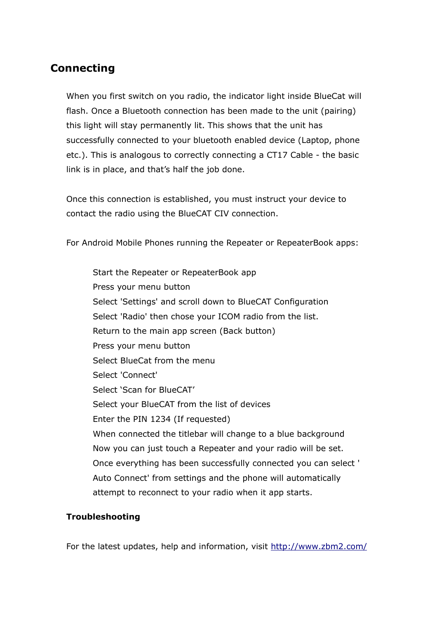### **Connecting**

When you first switch on you radio, the indicator light inside BlueCat will flash. Once a Bluetooth connection has been made to the unit (pairing) this light will stay permanently lit. This shows that the unit has successfully connected to your bluetooth enabled device (Laptop, phone etc.). This is analogous to correctly connecting a CT17 Cable - the basic link is in place, and that's half the job done.

Once this connection is established, you must instruct your device to contact the radio using the BlueCAT CIV connection.

For Android Mobile Phones running the Repeater or RepeaterBook apps:

Start the Repeater or RepeaterBook app Press your menu button Select 'Settings' and scroll down to BlueCAT Configuration Select 'Radio' then chose your ICOM radio from the list. Return to the main app screen (Back button) Press your menu button Select BlueCat from the menu Select 'Connect' Select 'Scan for BlueCAT' Select your BlueCAT from the list of devices Enter the PIN 1234 (If requested) When connected the titlebar will change to a blue background Now you can just touch a Repeater and your radio will be set. Once everything has been successfully connected you can select ' Auto Connect' from settings and the phone will automatically attempt to reconnect to your radio when it app starts.

#### **Troubleshooting**

For the latest updates, help and information, visit http://www.zbm2.com/